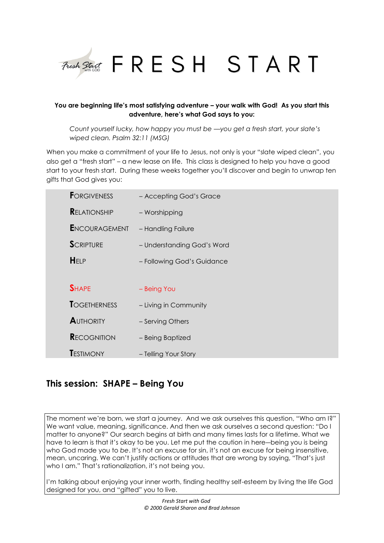

# **You are beginning life's most satisfying adventure – your walk with God! As you start this adventure, here's what God says to you:**

*Count yourself lucky, how happy you must be —you get a fresh start, your slate's wiped clean. Psalm 32:11 (MSG)*

When you make a commitment of your life to Jesus, not only is your "slate wiped clean", you also get a "fresh start" – a new lease on life. This class is designed to help you have a good start to your fresh start. During these weeks together you'll discover and begin to unwrap ten gifts that God gives you:

| <b>FORGIVENESS</b>   | - Accepting God's Grace    |
|----------------------|----------------------------|
| <b>RELATIONSHIP</b>  | - Worshipping              |
| <b>ENCOURAGEMENT</b> | - Handling Failure         |
| <b>SCRIPTURE</b>     | - Understanding God's Word |
| HELP                 | - Following God's Guidance |
|                      |                            |
| <b>SHAPE</b>         | - Being You                |
| <b>TOGETHERNESS</b>  | - Living in Community      |
| <b>AUTHORITY</b>     | - Serving Others           |
| <b>RECOGNITION</b>   | - Being Baptized           |
| <b>TESTIMONY</b>     | - Telling Your Story       |

# **This session: SHAPE – Being You**

The moment we're born, we start a journey. And we ask ourselves this question, "Who am I?" We want value, meaning, significance. And then we ask ourselves a second question: "Do I matter to anyone?" Our search begins at birth and many times lasts for a lifetime. What we have to learn is that it's okay to be you. Let me put the caution in here―being you is being who God made you to *be*. It's not an excuse for sin, it's not an excuse for being insensitive, mean, uncaring. We can't justify actions or attitudes that are wrong by saying, "That's just who I am." That's rationalization, it's not being you.

I'm talking about enjoying your inner worth, finding healthy self-esteem by living the life God designed for you, and "gifted" you to live.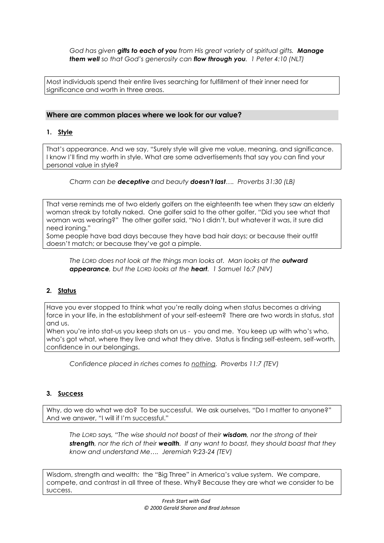*God has given gifts to each of you from His great variety of spiritual gifts. Manage them well so that God's generosity can flow through you. 1 Peter 4:10 (NLT)*

Most individuals spend their entire lives searching for fulfillment of their inner need for significance and worth in three areas.

# **Where are common places where we look for our value?**

# **1. Style**

That's appearance. And we say, "Surely style will give me value, meaning, and significance. I know I'll find my worth in style. What are some advertisements that say you can find your personal value in style?

# *Charm can be deceptive and beauty doesn't last…. Proverbs 31:30 (LB)*

That verse reminds me of two elderly golfers on the eighteenth tee when they saw an elderly woman streak by totally naked. One golfer said to the other golfer, "Did you see what that woman was wearing?" The other golfer said, "No I didn't, but whatever it was, it sure did need ironing."

Some people have bad days because they have bad hair days; or because their outfit doesn't match; or because they've got a pimple.

*The LORD does not look at the things man looks at. Man looks at the outward appearance, but the LORD looks at the heart. 1 Samuel 16:7 (NIV)*

# **2. Status**

Have you ever stopped to think what you're really doing when status becomes a driving force in your life, in the establishment of your self-esteem? There are two words in status, stat and us.

When you're into stat-us you keep stats on us - you and me. You keep up with who's who, who's got what, where they live and what they drive. Status is finding self-esteem, self-worth, confidence in our belongings.

*Confidence placed in riches comes to nothing. Proverbs 11:7 (TEV)*

### **3. Success**

Why, do we do what we do? To be successful. We ask ourselves, "Do I matter to anyone?" And we answer, "I will if I'm successful."

*The LORD says, "The wise should not boast of their wisdom, nor the strong of their strength, nor the rich of their wealth. If any want to boast, they should boast that they know and understand Me…. Jeremiah 9:23-24 (TEV)*

Wisdom, strength and wealth: the "Big Three" in America's value system. We compare, compete, and contrast in all three of these. Why? Because they are what we consider to be success.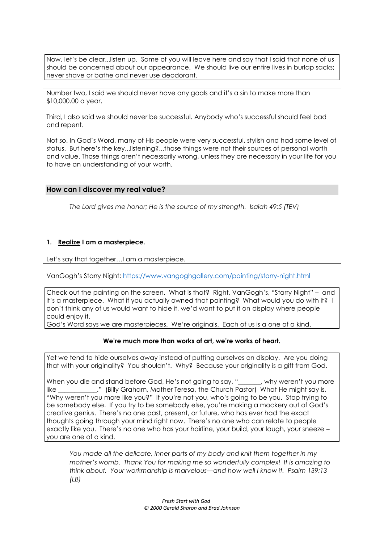Now, let's be clear...listen up. Some of you will leave here and say that I said that none of us should be concerned about our appearance. We should live our entire lives in burlap sacks; never shave or bathe and never use deodorant.

Number two, I said we should never have any goals and it's a sin to make more than \$10,000.00 a year.

Third, I also said we should never be successful. Anybody who's successful should feel bad and repent.

Not so. In God's Word, many of His people were very successful, stylish and had some level of status. But here's the key...listening?...those things were not their sources of personal worth and value. Those things aren't necessarily wrong, unless they are necessary in your life for you to have an understanding of your worth.

# **How can I discover my real value?**

*The Lord gives me honor; He is the source of my strength. Isaiah 49:5 (TEV)*

### **1. Realize I am a masterpiece.**

Let's say that together...I am a masterpiece.

VanGogh's Starry Night:<https://www.vangoghgallery.com/painting/starry-night.html>

Check out the painting on the screen. What is that? Right, VanGogh's, "Starry Night" – and it's a masterpiece. What if you actually owned that painting? What would you do with it? I don't think any of us would want to hide it, we'd want to put it on display where people could enjoy it.

God's Word says we are masterpieces. We're originals. Each of us is a one of a kind.

### **We're much more than works of art, we're works of heart.**

Yet we tend to hide ourselves away instead of putting ourselves on display. Are you doing that with your originality? You shouldn't. Why? Because your originality is a gift from God.

When you die and stand before God, He's not going to say, " ... why weren't you more like \_\_\_\_\_\_\_\_\_\_\_\_." (Billy Graham, Mother Teresa, the Church Pastor) What He might say is, "Why weren't you more like you?" If you're not you, who's going to be you. Stop trying to be somebody else. If you try to be somebody else, you're making a mockery out of God's creative genius. There's no one past, present, or future, who has ever had the exact thoughts going through your mind right now. There's no one who can relate to people exactly like you. There's no one who has your hairline, your build, your laugh, your sneeze – you are one of a kind.

*You made all the delicate, inner parts of my body and knit them together in my mother's womb. Thank You for making me so wonderfully complex! It is amazing to think about. Your workmanship is marvelous—and how well I know it. Psalm 139:13 (LB)*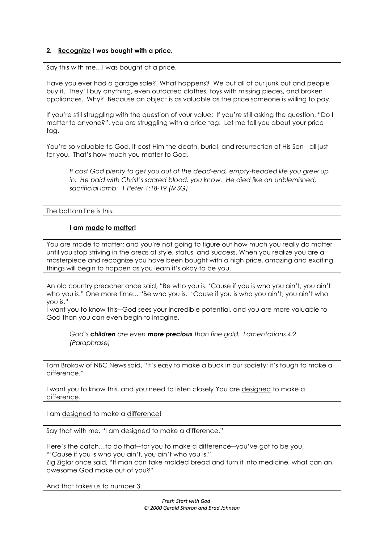# **2. Recognize I was bought with a price.**

Say this with me…I was bought at a price.

Have you ever had a garage sale? What happens? We put all of our junk out and people buy it. They'll buy anything, even outdated clothes, toys with missing pieces, and broken appliances. Why? Because an object is as valuable as the price someone is willing to pay.

If you're still struggling with the question of your value: If you're still asking the question, "Do I matter to anyone?", you are struggling with a price tag. Let me tell you about your price tag.

You're so valuable to God, it cost Him the death, burial, and resurrection of His Son - all just for you. That's how much you matter to God.

*It cost God plenty to get you out of the dead-end, empty-headed life you grew up*  in. He paid with Christ's sacred blood, you know. He died like an *unblemished*, *sacrificial lamb. 1 Peter 1:18-19 (MSG)*

The bottom line is this:

# **I am made to matter!**

You are made to matter; and you're not going to figure out how much you really do matter until you stop striving in the areas of style, status, and success. When you realize you are a masterpiece and recognize you have been bought with a high price, amazing and exciting things will begin to happen as you learn it's okay to be you.

An old country preacher once said, "Be who you is. 'Cause if you is who you ain't, you ain't who you is." One more time... "Be who you is. 'Cause if you is who you ain't, you ain't who you is."

I want you to know this―God sees your incredible potential, and you are more valuable to God than you can even begin to imagine.

*God's children are even more precious than fine gold. Lamentations 4:2 (Paraphrase)*

Tom Brokaw of NBC News said, "It's easy to make a buck in our society; it's tough to make a difference."

I want you to know this, and you need to listen closely You are designed to make a difference.

I am designed to make a difference!

Say that with me, "I am designed to make a difference."

Here's the catch…to do that―for you to make a difference―you've got to be you. "'Cause if you is who you ain't, you ain't who you is." Zig Ziglar once said, "If man can take molded bread and turn it into medicine, what can an awesome God make out of you?"

And that takes us to number 3.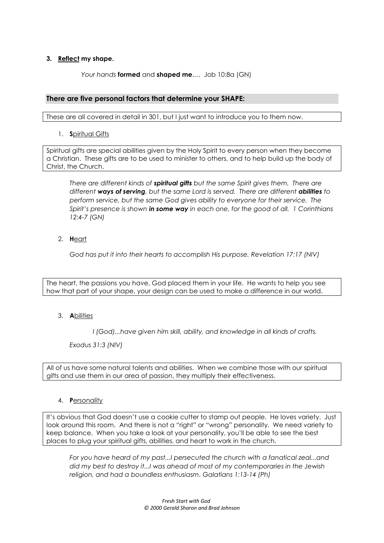# **3. Reflect my shape.**

*Your hands* **formed** and **shaped me**.… Job 10:8a (GN)

# **There are five personal factors that determine your SHAPE:**

These are all covered in detail in 301, but I just want to introduce you to them now.

1. **S**piritual Gifts

Spiritual gifts are special abilities given by the Holy Spirit to every person when they become a Christian. These gifts are to be used to minister to others, and to help build up the body of Christ, the Church.

*There are different kinds of spiritual gifts but the same Spirit gives them. There are different ways of serving, but the same Lord is served. There are different abilities to perform service, but the same God gives ability to everyone for their service. The Spirit's presence is shown in some way in each one, for the good of all. 1 Corinthians 12:4-7 (GN)*

2. **H**eart

*God has put it into their hearts to accomplish His purpose. Revelation 17:17 (NIV)*

The heart, the passions you have, God placed them in your life. He wants to help you see how that part of your shape, your design can be used to make a difference in our world.

## 3. **A**bilities

*I (God)...have given him skill, ability, and knowledge in all kinds of crafts.* 

*Exodus 31:3 (NIV)*

All of us have some natural talents and abilities. When we combine those with our spiritual gifts and use them in our area of passion, they multiply their effectiveness.

### 4. **P**ersonality

It's obvious that God doesn't use a cookie cutter to stamp out people. He loves variety. Just look around this room. And there is not a "right" or "wrong" personality. We need variety to keep balance. When you take a look at your personality, you'll be able to see the best places to plug your spiritual gifts, abilities, and heart to work in the church.

*For you have heard of my past...I persecuted the church with a fanatical zeal...and did my best to destroy it...I was ahead of most of my contemporaries in the Jewish religion, and had a boundless enthusiasm. Galatians 1:13-14 (Ph)*